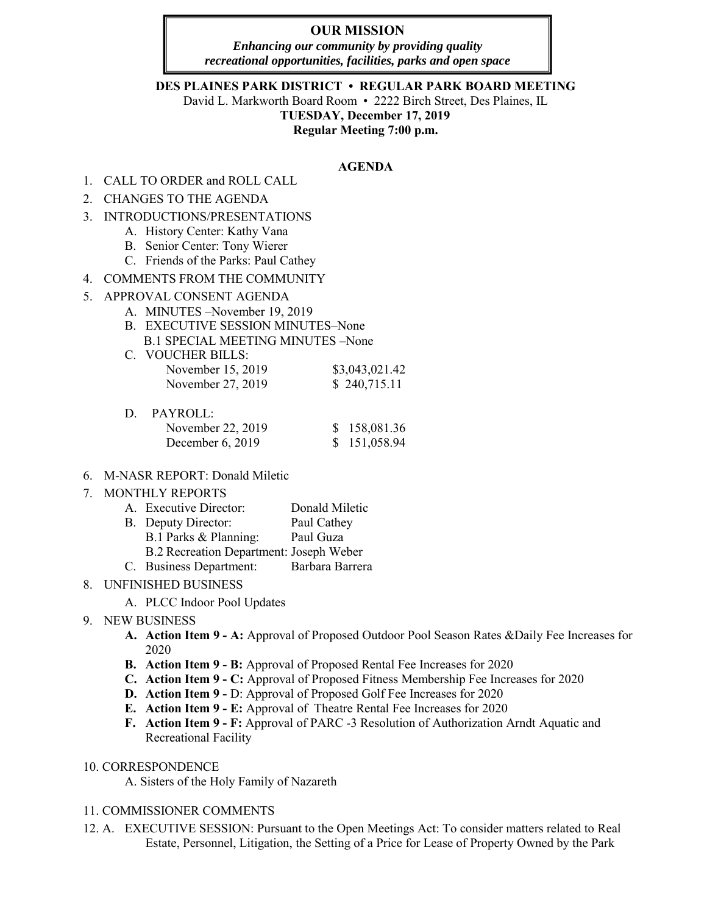# **OUR MISSION**

*Enhancing our community by providing quality recreational opportunities, facilities, parks and open space*

#### **DES PLAINES PARK DISTRICT • REGULAR PARK BOARD MEETING**

David L. Markworth Board Room • 2222 Birch Street, Des Plaines, IL **TUESDAY, December 17, 2019 Regular Meeting 7:00 p.m.** 

#### **AGENDA**

- 1. CALL TO ORDER and ROLL CALL
- 2. CHANGES TO THE AGENDA
- 3. INTRODUCTIONS/PRESENTATIONS
	- A. History Center: Kathy Vana
	- B. Senior Center: Tony Wierer
	- C. Friends of the Parks: Paul Cathey
- 4. COMMENTS FROM THE COMMUNITY
- 5. APPROVAL CONSENT AGENDA
	- A. MINUTES –November 19, 2019
	- B. EXECUTIVE SESSION MINUTES–None B.1 SPECIAL MEETING MINUTES –None
	- C. VOUCHER BILLS: November 15, 2019 \$3,043,021.42 November 27, 2019 \$ 240,715.11

| D. PAYROLL:        |              |
|--------------------|--------------|
| November 22, 2019  | \$158,081.36 |
| December $6, 2019$ | \$151,058.94 |

- 6. M-NASR REPORT: Donald Miletic
- 7. MONTHLY REPORTS

| A. Executive Director:                  | Donald Miletic  |
|-----------------------------------------|-----------------|
| B. Deputy Director:                     | Paul Cathey     |
| B.1 Parks & Planning:                   | Paul Guza       |
| B.2 Recreation Department: Joseph Weber |                 |
| C. Business Department:                 | Barbara Barrera |

- 8. UNFINISHED BUSINESS
	- A. PLCC Indoor Pool Updates
- 9. NEW BUSINESS
	- **A. Action Item 9 A:** Approval of Proposed Outdoor Pool Season Rates &Daily Fee Increases for 2020
	- **B. Action Item 9 B:** Approval of Proposed Rental Fee Increases for 2020
	- **C. Action Item 9 C:** Approval of Proposed Fitness Membership Fee Increases for 2020
	- **D. Action Item 9 -** D: Approval of Proposed Golf Fee Increases for 2020
	- **E. Action Item 9 E:** Approval of Theatre Rental Fee Increases for 2020
	- **F. Action Item 9 F:** Approval of PARC -3 Resolution of Authorization Arndt Aquatic and Recreational Facility
- 10. CORRESPONDENCE
	- A. Sisters of the Holy Family of Nazareth

#### 11. COMMISSIONER COMMENTS

12. A. EXECUTIVE SESSION: Pursuant to the Open Meetings Act: To consider matters related to Real Estate, Personnel, Litigation, the Setting of a Price for Lease of Property Owned by the Park